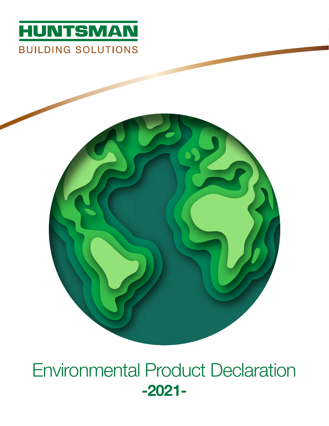



Environmental Product Declaration -2021-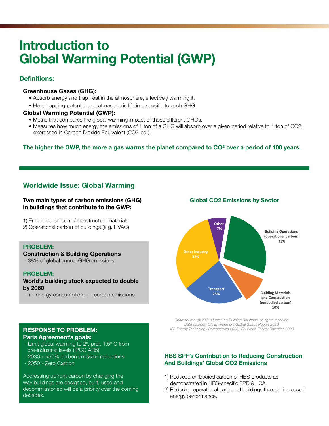# Introduction to Global Warming Potential (GWP)

### Definitions:

#### Greenhouse Gases (GHG):

- Absorb energy and trap heat in the atmosphere, effectively warming it.
- Heat-trapping potential and atmospheric lifetime specific to each GHG.

#### Global Warming Potential (GWP):

- Metric that compares the global warming impact of those different GHGs.
- Measures how much energy the emissions of 1 ton of a GHG will absorb over a given period relative to 1 ton of CO2; expressed in Carbon Dioxide Equivalent (CO2-eq.).

#### The higher the GWP, the more a gas warms the planet compared to CO<sup>2</sup> over a period of 100 years.

# Worldwide Issue: Global Warming

#### Two main types of carbon emissions (GHG) in buildings that contribute to the GWP:

- 1) Embodied carbon of construction materials
- 2) Operational carbon of buildings (e.g. HVAC)

#### PROBLEM:

#### Construction & Building Operations

- 38% of global annual GHG emissions

#### PROBLEM:

#### World's building stock expected to double by 2060

- ++ energy consumption; ++ carbon emissions

#### Global CO2 Emissions by Sector



*Chart source: © 2021 Huntsman Building Solutions. All rights reserved. Data sources: UN Environment Global Status Report 2020; IEA Energy Technology Perspectives 2020; IEA World Energy Balances 2020*

#### HBS SPF's Contribution to Reducing Construction And Buildings' Global CO2 Emissions

- 1) Reduced embodied carbon of HBS products as demonstrated in HBS-specific EPD & LCA.
- 2) Reducing operational carbon of buildings through increased energy performance.

#### RESPONSE TO PROBLEM: Paris Agreement's goals:

- Limit global warming to 2º, pref. 1.5º C from pre-industrial levels (IPCC AR5)
- 2030 » >50% carbon emission reductions
- 2050 » Zero Carbon

Addressing upfront carbon by changing the way buildings are designed, built, used and decommissioned will be a priority over the coming decades.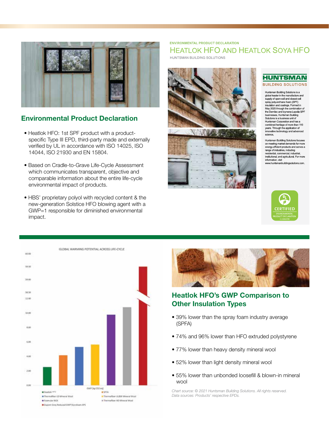

#### Environmental Product Declaration

- Heatlok HFO: 1st SPF product with a product specific Type III EPD, third-party made and externally verified by UL in accordance with ISO 14025, ISO 14044, ISO 21930 and EN 15804.
- Based on Cradle-to-Grave Life-Cycle Assessment which communicates transparent, objective and comparable information about the entire life-cycle environmental impact of products.
- HBS' proprietary polyol with recycled content & the new-generation Solstice HFO blowing agent with a GWP=1 responsible for diminished environmental impact.

#### **ENVIRONMENTAL PRODUCT DECLARATION HEATLOK HFO AND HEATLOK SOYA HFO**

HUNTSMAN BUILDING SOLUTIONS







Huntsman Building Solutions is a<br>global leader in the manufacture and supply of open-cell and closed-cell stray polyurethane foam (SPF)<br>insulation and coatings. Formed in May 2020 through the combination of the Demilec and Icynene-Lapolla SPF<br>businesses, Huntsman Building Solutions is a business unit of Huntsman Corporation and has a combined heritage of more than 110<br>years. Through the application of innovative technology and advanced science.

Huntsman Buildling Solutions focuses on meeting market demands for more energy-efficient products and serves a range of industries, induding<br>residential, commercial, industrial, institutional, and agricultural. For more information visit www.huntsmanbuildingsolutions.com.







# Heatlok HFO's GWP Comparison to Other Insulation Types

- 39% lower than the spray foam industry average (SPFA)
- 74% and 96% lower than HFO extruded polystyrene
- 77% lower than heavy density mineral wool
- 52% lower than light density mineral wool
- 55% lower than unbonded loosefill & blown-in mineral wool

*Chart source: © 2021 Huntsman Building Solutions. All rights reserved. Data sources: Products' respective EPDs.*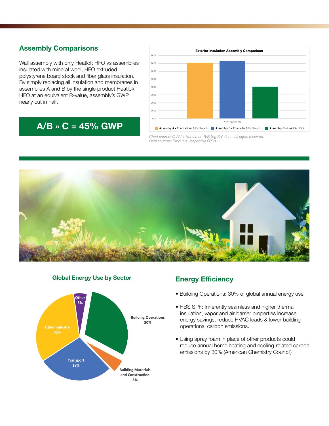# Assembly Comparisons

Wall assembly with only Heatlok HFO vs assemblies insulated with mineral wool, HFO extruded polystyrene board stock and fiber glass insulation. By simply replacing all insulation and membranes in assemblies A and B by the single product Heatlok HFO at an equivalent R-value, assembly's GWP nearly cut in half.

# $A/B \times C = 45\%$  GWP



*Chart source: © 2021 Huntsman Building Solutions. All rights reserved. Data sources: Products' respective EPDs.*





#### Global Energy Use by Sector

### Energy Efficiency

- Building Operations: 30% of global annual energy use
- HBS SPF: Inherently seamless and higher thermal insulation, vapor and air barrier properties increase energy savings, reduce HVAC loads & lower building operational carbon emissions.
- Using spray foam in place of other products could reduce annual home heating and cooling-related carbon emissions by 30% (American Chemistry Council)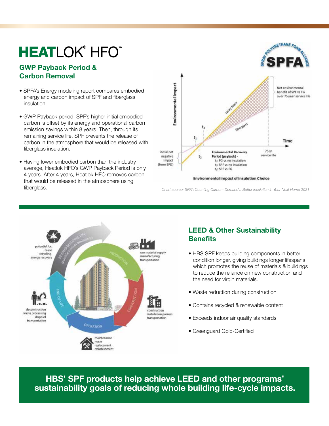# **HEATLOK® HFO™**

## GWP Payback Period & Carbon Removal

- SPFA's Energy modeling report compares embodied energy and carbon impact of SPF and fiberglass insulation.
- GWP Payback period: SPF's higher initial embodied carbon is offset by its energy and operational carbon emission savings within 8 years. Then, through its remaining service life, SPF prevents the release of carbon in the atmosphere that would be released with fiberglass insulation.
- Having lower embodied carbon than the industry average, Heatlok HFO's GWP Payback Period is only 4 years. After 4 years, Heatlok HFO removes carbon that would be released in the atmosphere using fiberglass.



*Chart source: SPFA Counting Carbon: Demand a Better Insulation in Your Next Home 2021*



# LEED & Other Sustainability **Benefits**

- HBS SPF keeps building components in better condition longer, giving buildings longer lifespans, which promotes the reuse of materials & buildings to reduce the reliance on new construction and the need for virgin materials.
- Waste reduction during construction
- Contains recycled & renewable content
- Exceeds indoor air quality standards
- Greenguard Gold-Certified

HBS' SPF products help achieve LEED and other programs' sustainability goals of reducing whole building life-cycle impacts.